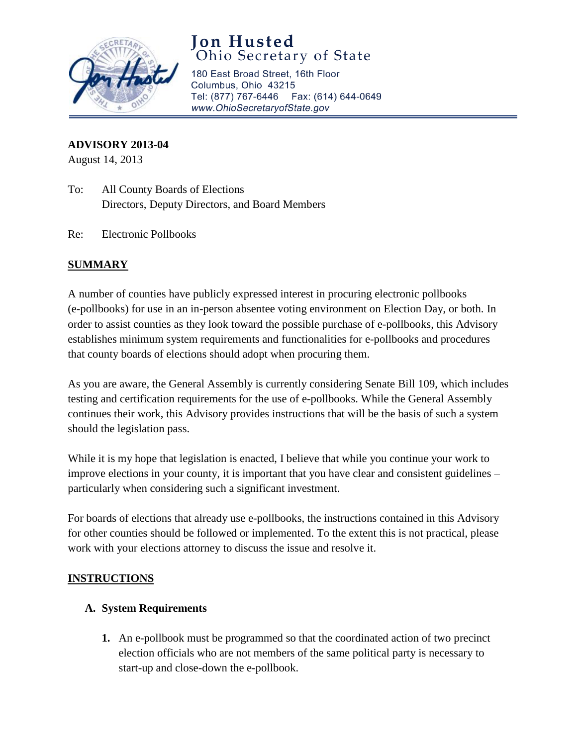

# **Jon Husted** Ohio Secretary of State

180 East Broad Street, 16th Floor Columbus, Ohio 43215 Tel: (877) 767-6446 Fax: (614) 644-0649 www.OhioSecretaryofState.gov

**ADVISORY 2013-04**

August 14, 2013

- To: All County Boards of Elections Directors, Deputy Directors, and Board Members
- Re: Electronic Pollbooks

### **SUMMARY**

A number of counties have publicly expressed interest in procuring electronic pollbooks (e-pollbooks) for use in an in-person absentee voting environment on Election Day, or both. In order to assist counties as they look toward the possible purchase of e-pollbooks, this Advisory establishes minimum system requirements and functionalities for e-pollbooks and procedures that county boards of elections should adopt when procuring them.

As you are aware, the General Assembly is currently considering Senate Bill 109, which includes testing and certification requirements for the use of e-pollbooks. While the General Assembly continues their work, this Advisory provides instructions that will be the basis of such a system should the legislation pass.

While it is my hope that legislation is enacted, I believe that while you continue your work to improve elections in your county, it is important that you have clear and consistent guidelines – particularly when considering such a significant investment.

For boards of elections that already use e-pollbooks, the instructions contained in this Advisory for other counties should be followed or implemented. To the extent this is not practical, please work with your elections attorney to discuss the issue and resolve it.

#### **INSTRUCTIONS**

#### **A. System Requirements**

**1.** An e-pollbook must be programmed so that the coordinated action of two precinct election officials who are not members of the same political party is necessary to start-up and close-down the e-pollbook.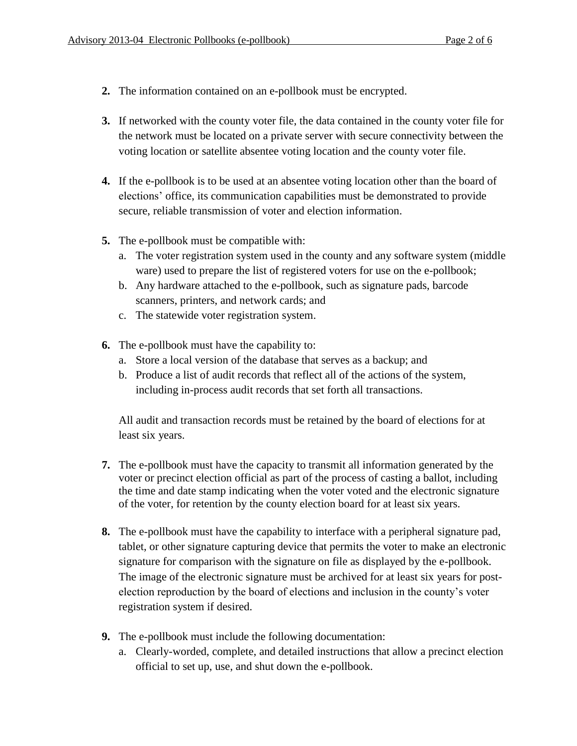- **2.** The information contained on an e-pollbook must be encrypted.
- **3.** If networked with the county voter file, the data contained in the county voter file for the network must be located on a private server with secure connectivity between the voting location or satellite absentee voting location and the county voter file.
- **4.** If the e-pollbook is to be used at an absentee voting location other than the board of elections' office, its communication capabilities must be demonstrated to provide secure, reliable transmission of voter and election information.
- **5.** The e-pollbook must be compatible with:
	- a. The voter registration system used in the county and any software system (middle ware) used to prepare the list of registered voters for use on the e-pollbook;
	- b. Any hardware attached to the e-pollbook, such as signature pads, barcode scanners, printers, and network cards; and
	- c. The statewide voter registration system.
- **6.** The e-pollbook must have the capability to:
	- a. Store a local version of the database that serves as a backup; and
	- b. Produce a list of audit records that reflect all of the actions of the system, including in-process audit records that set forth all transactions.

All audit and transaction records must be retained by the board of elections for at least six years.

- **7.** The e-pollbook must have the capacity to transmit all information generated by the voter or precinct election official as part of the process of casting a ballot, including the time and date stamp indicating when the voter voted and the electronic signature of the voter, for retention by the county election board for at least six years.
- **8.** The e-pollbook must have the capability to interface with a peripheral signature pad, tablet, or other signature capturing device that permits the voter to make an electronic signature for comparison with the signature on file as displayed by the e-pollbook. The image of the electronic signature must be archived for at least six years for postelection reproduction by the board of elections and inclusion in the county's voter registration system if desired.
- **9.** The e-pollbook must include the following documentation:
	- a. Clearly-worded, complete, and detailed instructions that allow a precinct election official to set up, use, and shut down the e-pollbook.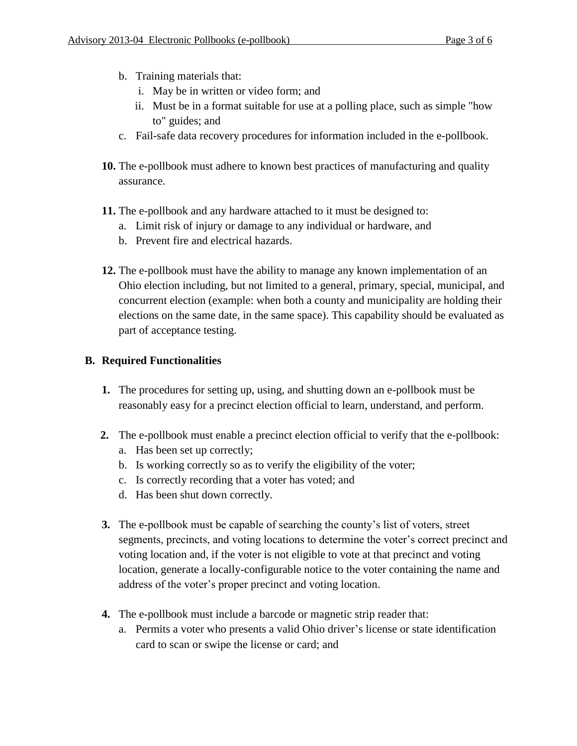- b. Training materials that:
	- i. May be in written or video form; and
	- ii. Must be in a format suitable for use at a polling place, such as simple "how to" guides; and
- c. Fail-safe data recovery procedures for information included in the e-pollbook.
- **10.** The e-pollbook must adhere to known best practices of manufacturing and quality assurance.
- **11.** The e-pollbook and any hardware attached to it must be designed to:
	- a. Limit risk of injury or damage to any individual or hardware, and
	- b. Prevent fire and electrical hazards.
- **12.** The e-pollbook must have the ability to manage any known implementation of an Ohio election including, but not limited to a general, primary, special, municipal, and concurrent election (example: when both a county and municipality are holding their elections on the same date, in the same space). This capability should be evaluated as part of acceptance testing.

## **B. Required Functionalities**

- **1.** The procedures for setting up, using, and shutting down an e-pollbook must be reasonably easy for a precinct election official to learn, understand, and perform.
- **2.** The e-pollbook must enable a precinct election official to verify that the e-pollbook:
	- a. Has been set up correctly;
	- b. Is working correctly so as to verify the eligibility of the voter;
	- c. Is correctly recording that a voter has voted; and
	- d. Has been shut down correctly.
- **3.** The e-pollbook must be capable of searching the county's list of voters, street segments, precincts, and voting locations to determine the voter's correct precinct and voting location and, if the voter is not eligible to vote at that precinct and voting location, generate a locally-configurable notice to the voter containing the name and address of the voter's proper precinct and voting location.
- **4.** The e-pollbook must include a barcode or magnetic strip reader that:
	- a. Permits a voter who presents a valid Ohio driver's license or state identification card to scan or swipe the license or card; and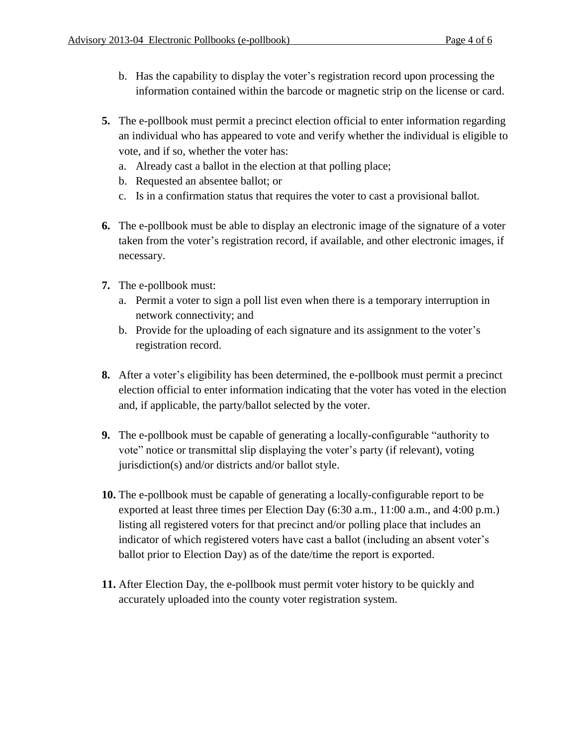- b. Has the capability to display the voter's registration record upon processing the information contained within the barcode or magnetic strip on the license or card.
- **5.** The e-pollbook must permit a precinct election official to enter information regarding an individual who has appeared to vote and verify whether the individual is eligible to vote, and if so, whether the voter has:
	- a. Already cast a ballot in the election at that polling place;
	- b. Requested an absentee ballot; or
	- c. Is in a confirmation status that requires the voter to cast a provisional ballot.
- **6.** The e-pollbook must be able to display an electronic image of the signature of a voter taken from the voter's registration record, if available, and other electronic images, if necessary.
- **7.** The e-pollbook must:
	- a. Permit a voter to sign a poll list even when there is a temporary interruption in network connectivity; and
	- b. Provide for the uploading of each signature and its assignment to the voter's registration record.
- **8.** After a voter's eligibility has been determined, the e-pollbook must permit a precinct election official to enter information indicating that the voter has voted in the election and, if applicable, the party/ballot selected by the voter.
- **9.** The e-pollbook must be capable of generating a locally-configurable "authority to vote" notice or transmittal slip displaying the voter's party (if relevant), voting jurisdiction(s) and/or districts and/or ballot style.
- **10.** The e-pollbook must be capable of generating a locally-configurable report to be exported at least three times per Election Day (6:30 a.m., 11:00 a.m., and 4:00 p.m.) listing all registered voters for that precinct and/or polling place that includes an indicator of which registered voters have cast a ballot (including an absent voter's ballot prior to Election Day) as of the date/time the report is exported.
- **11.** After Election Day, the e-pollbook must permit voter history to be quickly and accurately uploaded into the county voter registration system.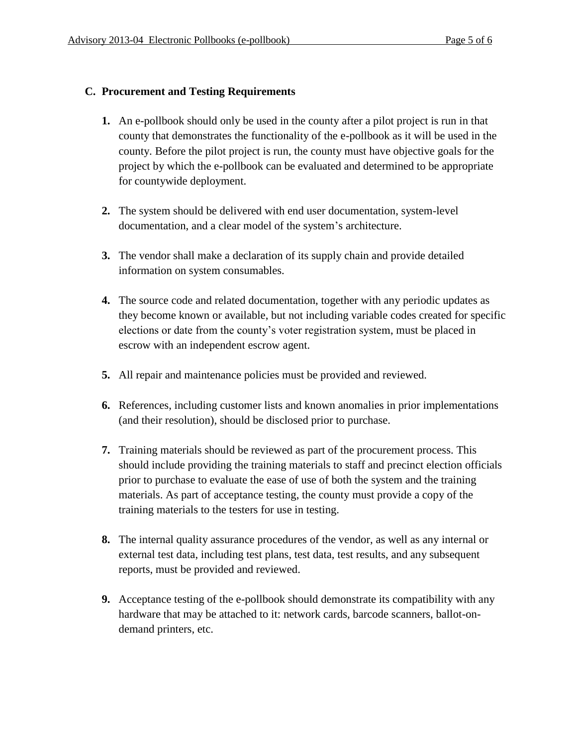#### **C. Procurement and Testing Requirements**

- **1.** An e-pollbook should only be used in the county after a pilot project is run in that county that demonstrates the functionality of the e-pollbook as it will be used in the county. Before the pilot project is run, the county must have objective goals for the project by which the e-pollbook can be evaluated and determined to be appropriate for countywide deployment.
- **2.** The system should be delivered with end user documentation, system-level documentation, and a clear model of the system's architecture.
- **3.** The vendor shall make a declaration of its supply chain and provide detailed information on system consumables.
- **4.** The source code and related documentation, together with any periodic updates as they become known or available, but not including variable codes created for specific elections or date from the county's voter registration system, must be placed in escrow with an independent escrow agent.
- **5.** All repair and maintenance policies must be provided and reviewed.
- **6.** References, including customer lists and known anomalies in prior implementations (and their resolution), should be disclosed prior to purchase.
- **7.** Training materials should be reviewed as part of the procurement process. This should include providing the training materials to staff and precinct election officials prior to purchase to evaluate the ease of use of both the system and the training materials. As part of acceptance testing, the county must provide a copy of the training materials to the testers for use in testing.
- **8.** The internal quality assurance procedures of the vendor, as well as any internal or external test data, including test plans, test data, test results, and any subsequent reports, must be provided and reviewed.
- **9.** Acceptance testing of the e-pollbook should demonstrate its compatibility with any hardware that may be attached to it: network cards, barcode scanners, ballot-ondemand printers, etc.